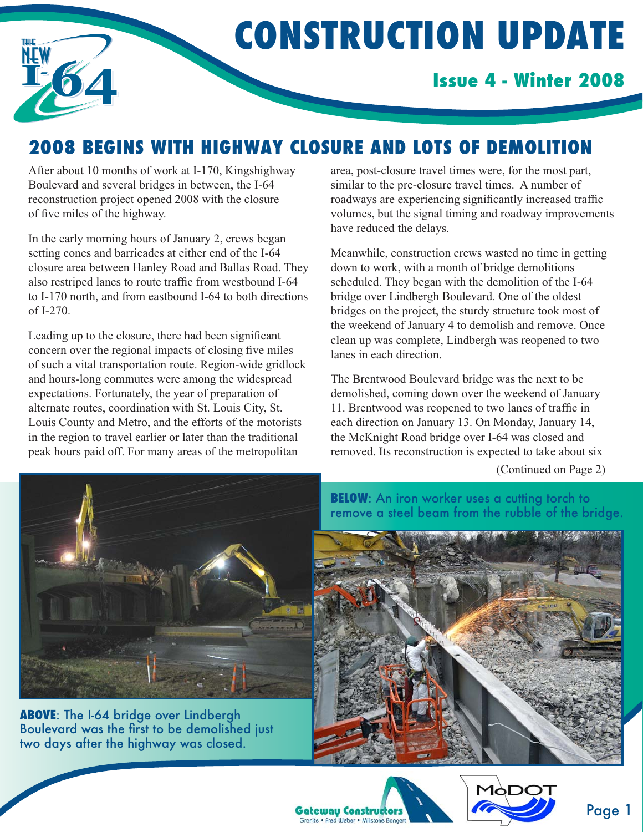

# **CONSTRUCTION UPDATE**

### **Issue 4 - Winter 2008**

## **2008 BEGINS WITH HIGHWAY CLOSURE AND LOTS OF DEMOLITION**

After about 10 months of work at I-170, Kingshighway Boulevard and several bridges in between, the I-64 reconstruction project opened 2008 with the closure of five miles of the highway.

In the early morning hours of January 2, crews began setting cones and barricades at either end of the I-64 closure area between Hanley Road and Ballas Road. They also restriped lanes to route traffic from westbound I-64 to I-170 north, and from eastbound I-64 to both directions of I-270.

Leading up to the closure, there had been significant concern over the regional impacts of closing five miles of such a vital transportation route. Region-wide gridlock and hours-long commutes were among the widespread expectations. Fortunately, the year of preparation of alternate routes, coordination with St. Louis City, St. Louis County and Metro, and the efforts of the motorists in the region to travel earlier or later than the traditional peak hours paid off. For many areas of the metropolitan

area, post-closure travel times were, for the most part, similar to the pre-closure travel times. A number of roadways are experiencing significantly increased traffic volumes, but the signal timing and roadway improvements have reduced the delays.

Meanwhile, construction crews wasted no time in getting down to work, with a month of bridge demolitions scheduled. They began with the demolition of the I-64 bridge over Lindbergh Boulevard. One of the oldest bridges on the project, the sturdy structure took most of the weekend of January 4 to demolish and remove. Once clean up was complete, Lindbergh was reopened to two lanes in each direction.

The Brentwood Boulevard bridge was the next to be demolished, coming down over the weekend of January 11. Brentwood was reopened to two lanes of traffic in each direction on January 13. On Monday, January 14, the McKnight Road bridge over I-64 was closed and removed. Its reconstruction is expected to take about six

(Continued on Page 2)



**ABOVE**: The I-64 bridge over Lindbergh Boulevard was the first to be demolished just two days after the highway was closed.

**BELOW:** An iron worker uses a cutting torch to remove a steel beam from the rubble of the bridge.





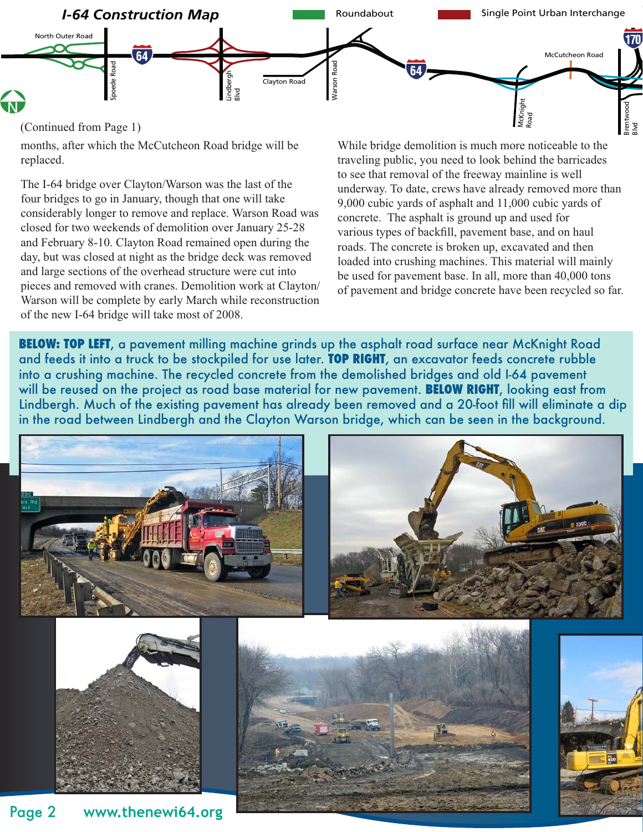

(Continued from Page 1)

months, after which the McCutcheon Road bridge will be replaced.

The I-64 bridge over Clayton/Warson was the last of the four bridges to go in January, though that one will take considerably longer to remove and replace. Warson Road was closed for two weekends of demolition over January 25-28 and February 8-10. Clayton Road remained open during the day, but was closed at night as the bridge deck was removed and large sections of the overhead structure were cut into pieces and removed with cranes. Demolition work at Clayton/ Warson will be complete by early March while reconstruction of the new I-64 bridge will take most of 2008.

While bridge demolition is much more noticeable to the traveling public, you need to look behind the barricades to see that removal of the freeway mainline is well underway. To date, crews have already removed more than 9,000 cubic yards of asphalt and 11,000 cubic yards of concrete. The asphalt is ground up and used for various types of backfill, pavement base, and on haul roads. The concrete is broken up, excavated and then loaded into crushing machines. This material will mainly be used for pavement base. In all, more than 40,000 tons of pavement and bridge concrete have been recycled so far.

**BELOW: TOP LEFT**, a pavement milling machine grinds up the asphalt road surface near McKnight Road and feeds it into a truck to be stockpiled for use later. **TOP RIGHT**, an excavator feeds concrete rubble into a crushing machine. The recycled concrete from the demolished bridges and old I-64 pavement will be reused on the project as road base material for new pavement. **BELOW RIGHT**, looking east from Lindbergh. Much of the existing pavement has already been removed and a 20-foot fill will eliminate a dip in the road between Lindbergh and the Clayton Warson bridge, which can be seen in the background.







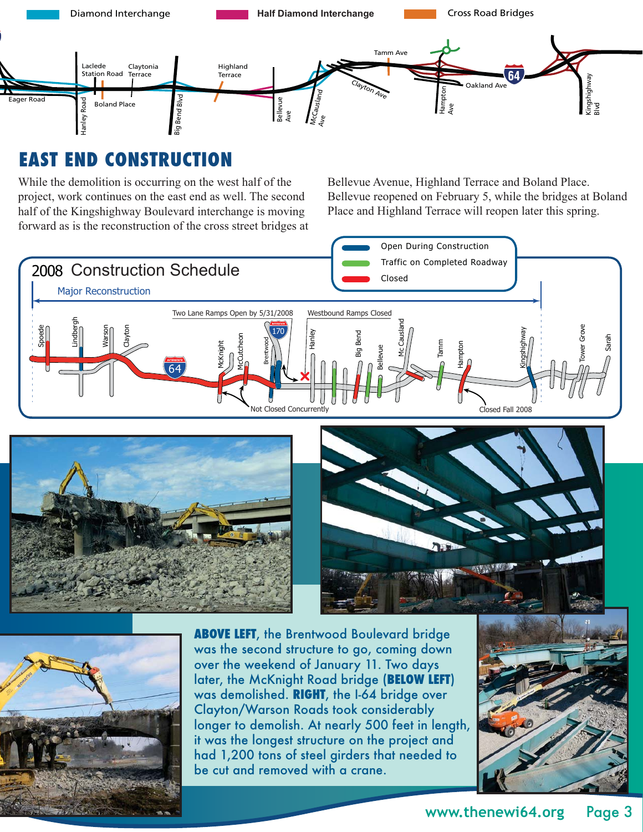

## **EAST END CONSTRUCTION**

While the demolition is occurring on the west half of the project, work continues on the east end as well. The second half of the Kingshighway Boulevard interchange is moving forward as is the reconstruction of the cross street bridges at Bellevue Avenue, Highland Terrace and Boland Place. Bellevue reopened on February 5, while the bridges at Boland Place and Highland Terrace will reopen later this spring.









**ABOVE LEFT**, the Brentwood Boulevard bridge was the second structure to go, coming down over the weekend of January 11. Two days later, the McKnight Road bridge (**BELOW LEFT**) was demolished. **RIGHT**, the I-64 bridge over Clayton/Warson Roads took considerably longer to demolish. At nearly 500 feet in length, it was the longest structure on the project and had 1,200 tons of steel girders that needed to be cut and removed with a crane.